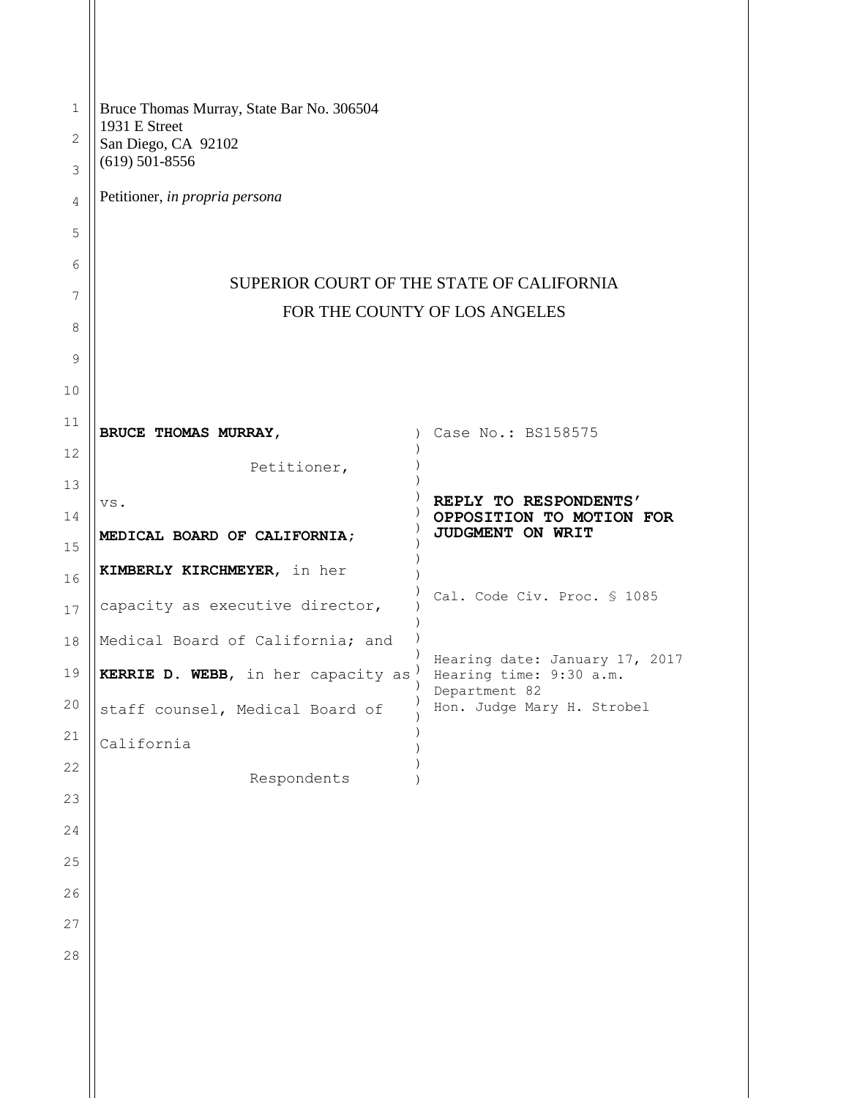| $\mathbf 1$<br>$\mathbf{2}$ | Bruce Thomas Murray, State Bar No. 306504<br>1931 E Street<br>San Diego, CA 92102<br>$(619)$ 501-8556 |                                                           |
|-----------------------------|-------------------------------------------------------------------------------------------------------|-----------------------------------------------------------|
| 3                           |                                                                                                       |                                                           |
| $\sqrt{4}$                  | Petitioner, in propria persona                                                                        |                                                           |
| 5                           |                                                                                                       |                                                           |
| 6                           | SUPERIOR COURT OF THE STATE OF CALIFORNIA                                                             |                                                           |
| 7                           | FOR THE COUNTY OF LOS ANGELES                                                                         |                                                           |
| 8                           |                                                                                                       |                                                           |
| 9                           |                                                                                                       |                                                           |
| 10                          |                                                                                                       |                                                           |
| 11                          | BRUCE THOMAS MURRAY,                                                                                  | Case No.: BS158575                                        |
| 12                          | Petitioner,                                                                                           |                                                           |
| 13                          | VS.                                                                                                   | REPLY TO RESPONDENTS'                                     |
| 14<br>15                    | MEDICAL BOARD OF CALIFORNIA;                                                                          | OPPOSITION TO MOTION FOR<br>JUDGMENT ON WRIT              |
| 16                          | KIMBERLY KIRCHMEYER, in her                                                                           |                                                           |
| 17                          | capacity as executive director,                                                                       | Cal. Code Civ. Proc. § 1085                               |
| 18                          | Medical Board of California; and                                                                      |                                                           |
| 19                          | KERRIE D. WEBB, in her capacity as                                                                    | Hearing date: January 17, 2017<br>Hearing time: 9:30 a.m. |
| 20                          | staff counsel, Medical Board of                                                                       | Department 82<br>Hon. Judge Mary H. Strobel               |
| 21                          | California                                                                                            |                                                           |
| 22                          | Respondents                                                                                           |                                                           |
| 23                          |                                                                                                       |                                                           |
| 24                          |                                                                                                       |                                                           |
| 25                          |                                                                                                       |                                                           |
| 26                          |                                                                                                       |                                                           |
| 27                          |                                                                                                       |                                                           |
| 28                          |                                                                                                       |                                                           |
|                             |                                                                                                       |                                                           |
|                             |                                                                                                       |                                                           |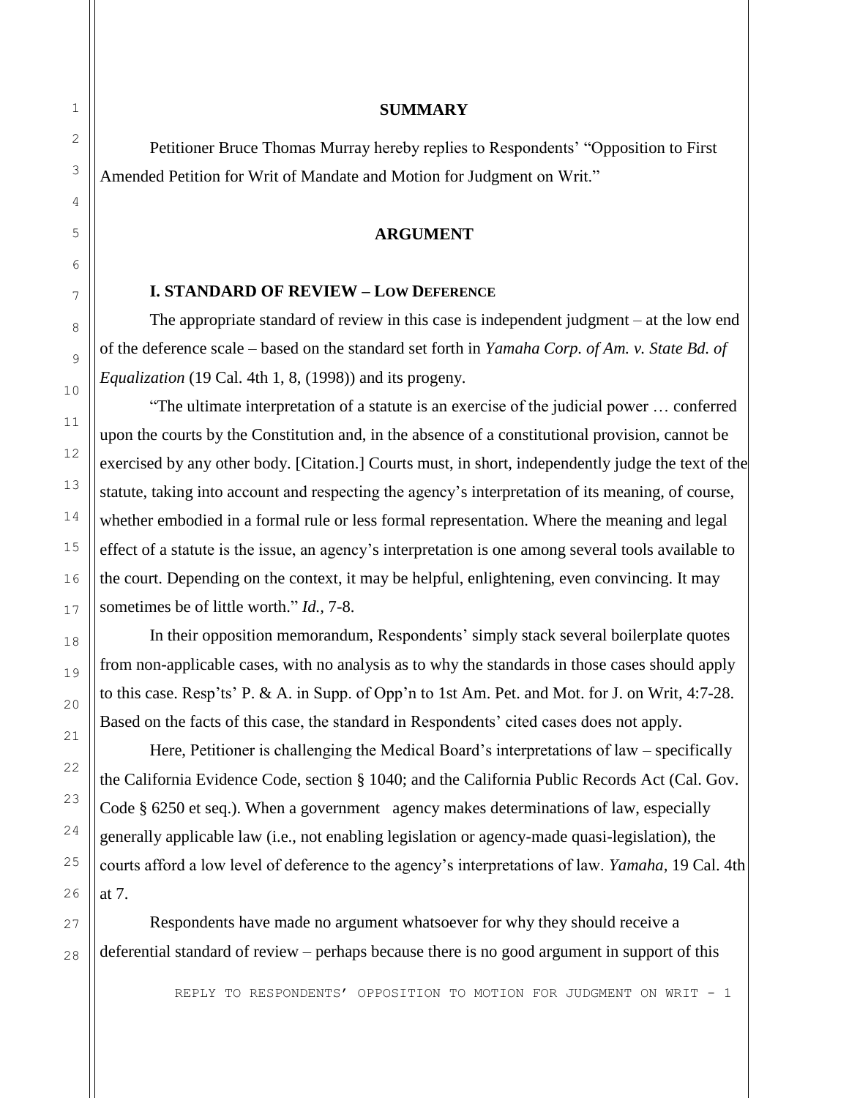#### **SUMMARY**

Petitioner Bruce Thomas Murray hereby replies to Respondents' "Opposition to First Amended Petition for Writ of Mandate and Motion for Judgment on Writ."

#### **ARGUMENT**

#### **I. STANDARD OF REVIEW – LOW DEFERENCE**

The appropriate standard of review in this case is independent judgment – at the low end of the deference scale – based on the standard set forth in *Yamaha Corp. of Am. v. State Bd. of Equalization* (19 Cal. 4th 1, 8, (1998)) and its progeny.

"The ultimate interpretation of a statute is an exercise of the judicial power … conferred upon the courts by the Constitution and, in the absence of a constitutional provision, cannot be exercised by any other body. [Citation.] Courts must, in short, independently judge the text of the statute, taking into account and respecting the agency's interpretation of its meaning, of course, whether embodied in a formal rule or less formal representation. Where the meaning and legal effect of a statute is the issue, an agency's interpretation is one among several tools available to the court. Depending on the context, it may be helpful, enlightening, even convincing. It may sometimes be of little worth." *Id.,* 7-8.

In their opposition memorandum, Respondents' simply stack several boilerplate quotes from non-applicable cases, with no analysis as to why the standards in those cases should apply to this case. Resp'ts' P. & A. in Supp. of Opp'n to 1st Am. Pet. and Mot. for J. on Writ, 4:7-28. Based on the facts of this case, the standard in Respondents' cited cases does not apply.

Here, Petitioner is challenging the Medical Board's interpretations of law – specifically the California Evidence Code, section § 1040; and the California Public Records Act (Cal. Gov. Code § 6250 et seq.). When a government agency makes determinations of law, especially generally applicable law (i.e., not enabling legislation or agency-made quasi-legislation), the courts afford a low level of deference to the agency's interpretations of law. *Yamaha,* 19 Cal. 4th at 7.

Respondents have made no argument whatsoever for why they should receive a deferential standard of review – perhaps because there is no good argument in support of this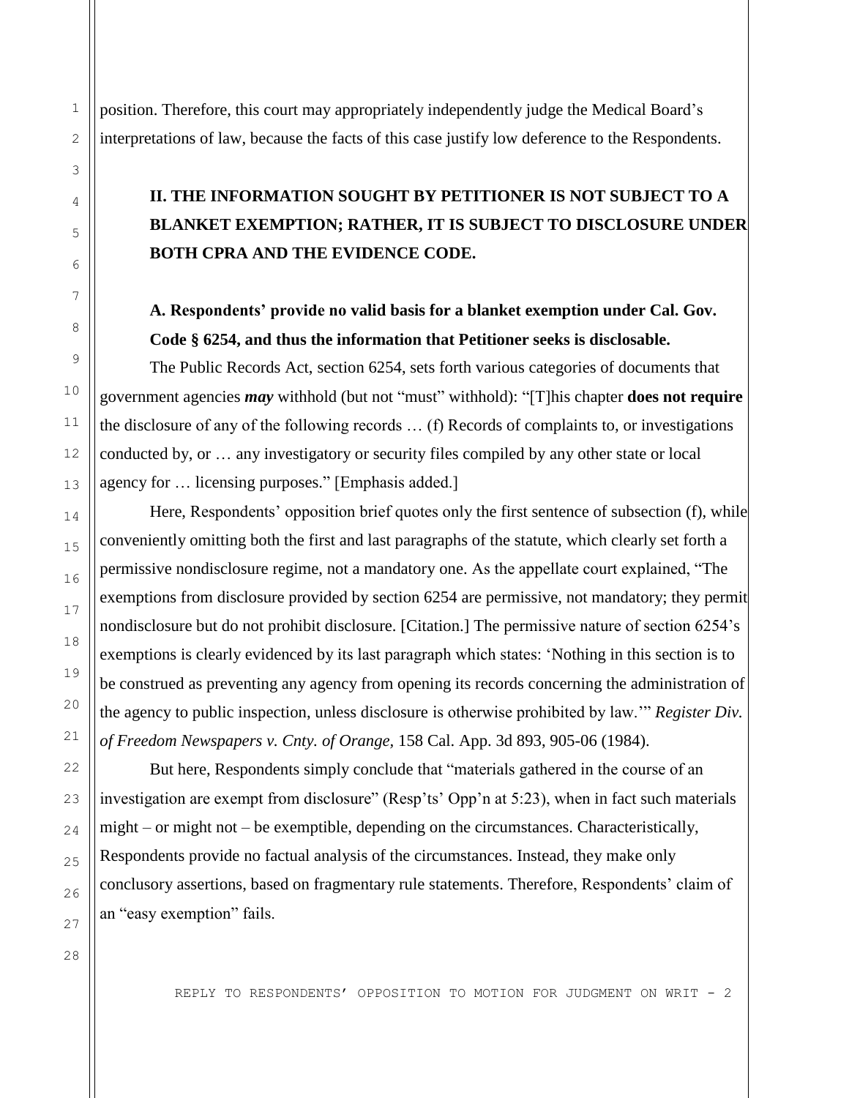position. Therefore, this court may appropriately independently judge the Medical Board's interpretations of law, because the facts of this case justify low deference to the Respondents.

# **II. THE INFORMATION SOUGHT BY PETITIONER IS NOT SUBJECT TO A BLANKET EXEMPTION; RATHER, IT IS SUBJECT TO DISCLOSURE UNDER BOTH CPRA AND THE EVIDENCE CODE.**

## **A. Respondents' provide no valid basis for a blanket exemption under Cal. Gov. Code § 6254, and thus the information that Petitioner seeks is disclosable.**

The Public Records Act, section 6254, sets forth various categories of documents that government agencies *may* withhold (but not "must" withhold): "[T]his chapter **does not require** the disclosure of any of the following records … (f) Records of complaints to, or investigations conducted by, or … any investigatory or security files compiled by any other state or local agency for … licensing purposes." [Emphasis added.]

Here, Respondents' opposition brief quotes only the first sentence of subsection (f), while conveniently omitting both the first and last paragraphs of the statute, which clearly set forth a permissive nondisclosure regime, not a mandatory one. As the appellate court explained, "The exemptions from disclosure provided by section 6254 are permissive, not mandatory; they permit nondisclosure but do not prohibit disclosure. [Citation.] The permissive nature of section 6254's exemptions is clearly evidenced by its last paragraph which states: 'Nothing in this section is to be construed as preventing any agency from opening its records concerning the administration of the agency to public inspection, unless disclosure is otherwise prohibited by law.'" *Register Div. of Freedom Newspapers v. Cnty. of Orange,* 158 Cal. App. 3d 893, 905-06 (1984).

But here, Respondents simply conclude that "materials gathered in the course of an investigation are exempt from disclosure" (Resp'ts' Opp'n at 5:23), when in fact such materials might – or might not – be exemptible, depending on the circumstances. Characteristically, Respondents provide no factual analysis of the circumstances. Instead, they make only conclusory assertions, based on fragmentary rule statements. Therefore, Respondents' claim of an "easy exemption" fails.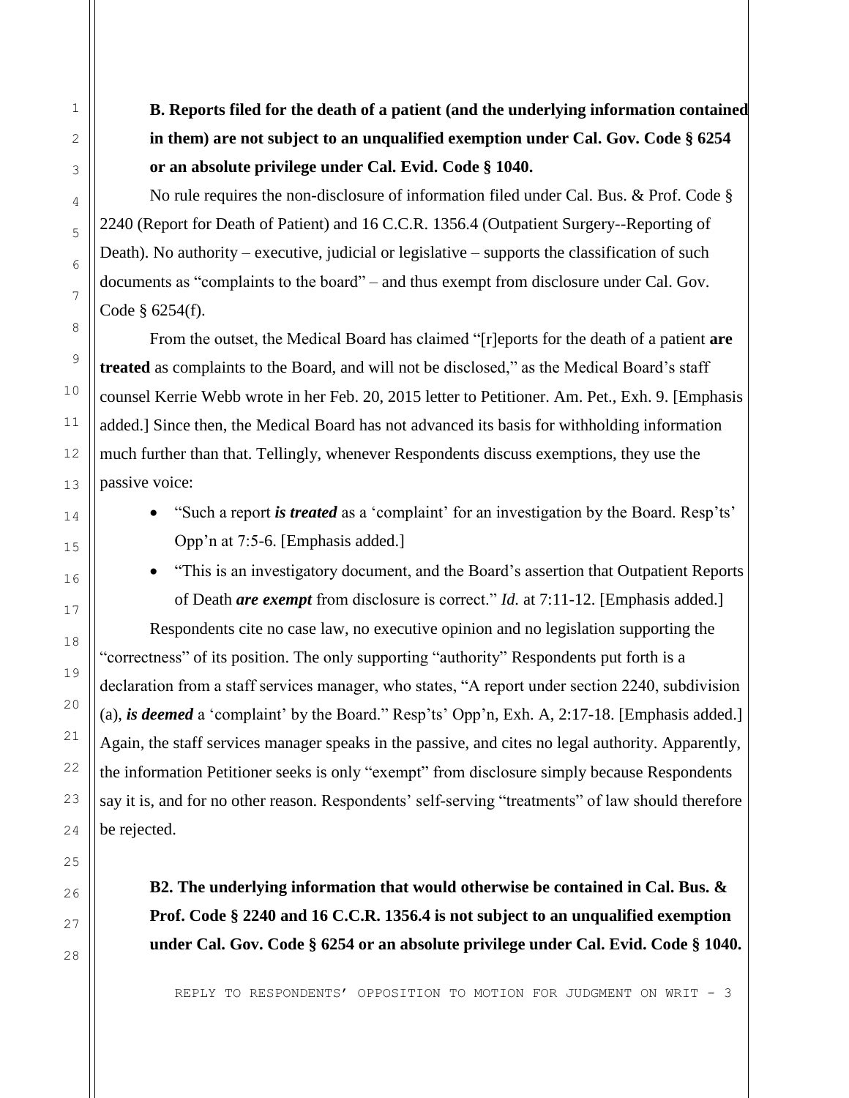**B. Reports filed for the death of a patient (and the underlying information contained in them) are not subject to an unqualified exemption under Cal. Gov. Code § 6254 or an absolute privilege under Cal. Evid. Code § 1040.**

No rule requires the non-disclosure of information filed under Cal. Bus. & Prof. Code § 2240 (Report for Death of Patient) and 16 C.C.R. 1356.4 (Outpatient Surgery--Reporting of Death). No authority – executive, judicial or legislative – supports the classification of such documents as "complaints to the board" – and thus exempt from disclosure under Cal. Gov. Code § 6254(f).

From the outset, the Medical Board has claimed "[r]eports for the death of a patient **are treated** as complaints to the Board, and will not be disclosed," as the Medical Board's staff counsel Kerrie Webb wrote in her Feb. 20, 2015 letter to Petitioner. Am. Pet., Exh. 9. [Emphasis added.] Since then, the Medical Board has not advanced its basis for withholding information much further than that. Tellingly, whenever Respondents discuss exemptions, they use the passive voice:

- "Such a report *is treated* as a 'complaint' for an investigation by the Board. Resp'ts' Opp'n at 7:5-6. [Emphasis added.]
- "This is an investigatory document, and the Board's assertion that Outpatient Reports of Death *are exempt* from disclosure is correct." *Id.* at 7:11-12. [Emphasis added.]

Respondents cite no case law, no executive opinion and no legislation supporting the "correctness" of its position. The only supporting "authority" Respondents put forth is a declaration from a staff services manager, who states, "A report under section 2240, subdivision (a), *is deemed* a 'complaint' by the Board." Resp'ts' Opp'n, Exh. A, 2:17-18. [Emphasis added.] Again, the staff services manager speaks in the passive, and cites no legal authority. Apparently, the information Petitioner seeks is only "exempt" from disclosure simply because Respondents say it is, and for no other reason. Respondents' self-serving "treatments" of law should therefore be rejected.

**B2. The underlying information that would otherwise be contained in Cal. Bus. & Prof. Code § 2240 and 16 C.C.R. 1356.4 is not subject to an unqualified exemption under Cal. Gov. Code § 6254 or an absolute privilege under Cal. Evid. Code § 1040.**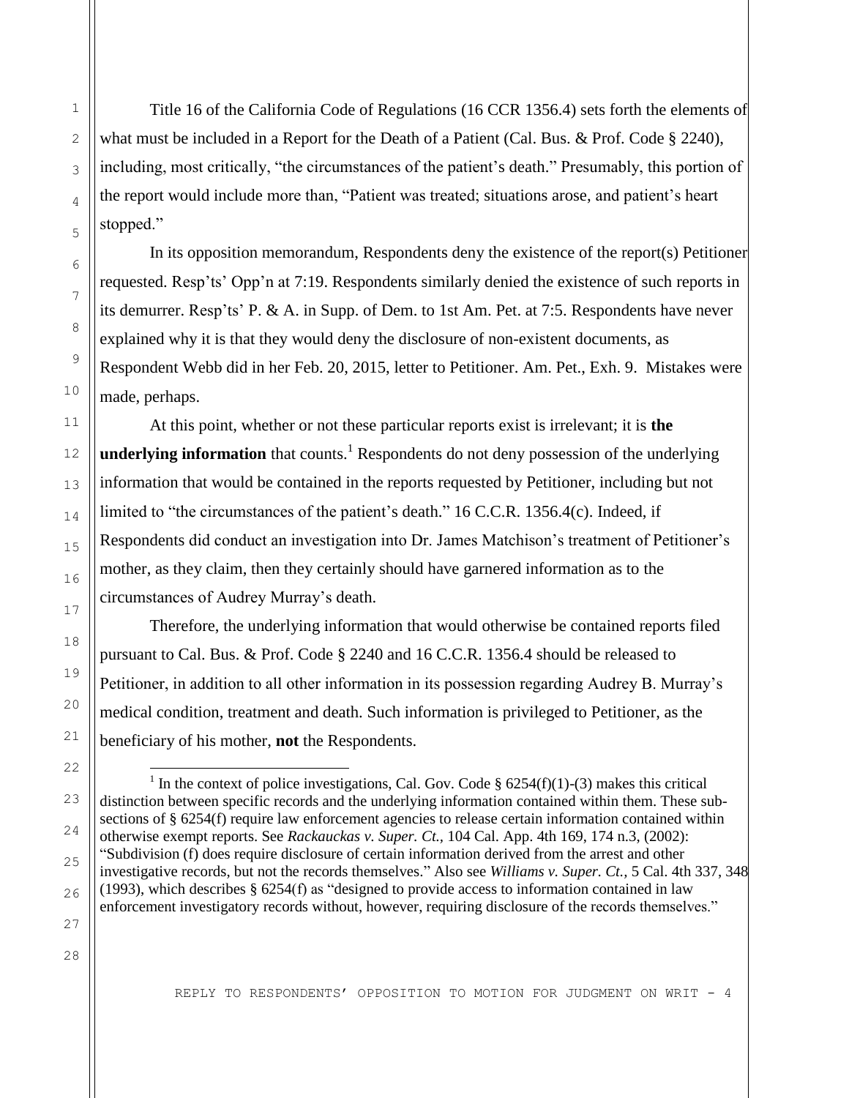Title 16 of the California Code of Regulations (16 CCR 1356.4) sets forth the elements of what must be included in a Report for the Death of a Patient (Cal. Bus. & Prof. Code § 2240), including, most critically, "the circumstances of the patient's death." Presumably, this portion of the report would include more than, "Patient was treated; situations arose, and patient's heart stopped."

In its opposition memorandum, Respondents deny the existence of the report(s) Petitioner requested. Resp'ts' Opp'n at 7:19. Respondents similarly denied the existence of such reports in its demurrer. Resp'ts' P. & A. in Supp. of Dem. to 1st Am. Pet. at 7:5. Respondents have never explained why it is that they would deny the disclosure of non-existent documents, as Respondent Webb did in her Feb. 20, 2015, letter to Petitioner. Am. Pet., Exh. 9. Mistakes were made, perhaps.

At this point, whether or not these particular reports exist is irrelevant; it is **the underlying information** that counts.<sup>1</sup> Respondents do not deny possession of the underlying information that would be contained in the reports requested by Petitioner, including but not limited to "the circumstances of the patient's death." 16 C.C.R. 1356.4(c). Indeed, if Respondents did conduct an investigation into Dr. James Matchison's treatment of Petitioner's mother, as they claim, then they certainly should have garnered information as to the circumstances of Audrey Murray's death.

Therefore, the underlying information that would otherwise be contained reports filed pursuant to Cal. Bus. & Prof. Code § 2240 and 16 C.C.R. 1356.4 should be released to Petitioner, in addition to all other information in its possession regarding Audrey B. Murray's medical condition, treatment and death. Such information is privileged to Petitioner, as the beneficiary of his mother, **not** the Respondents.

÷,

1

<sup>&</sup>lt;sup>1</sup> In the context of police investigations, Cal. Gov. Code § 6254(f)(1)-(3) makes this critical distinction between specific records and the underlying information contained within them. These subsections of § 6254(f) require law enforcement agencies to release certain information contained within otherwise exempt reports. See *Rackauckas v. Super. Ct.,* 104 Cal. App. 4th 169, 174 n.3, (2002): "Subdivision (f) does require disclosure of certain information derived from the arrest and other investigative records, but not the records themselves." Also see *Williams v. Super. Ct.,* 5 Cal. 4th 337, 348 (1993), which describes  $\S$  6254(f) as "designed to provide access to information contained in law enforcement investigatory records without, however, requiring disclosure of the records themselves."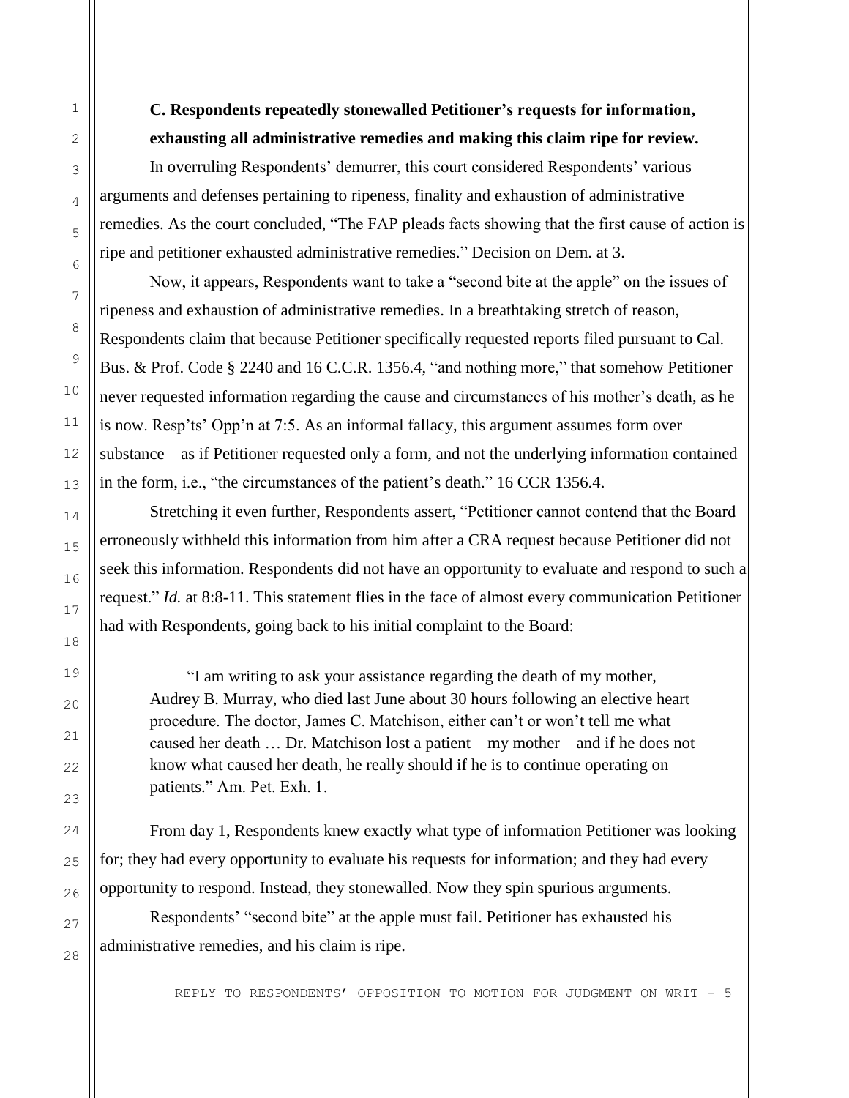### **C. Respondents repeatedly stonewalled Petitioner's requests for information, exhausting all administrative remedies and making this claim ripe for review.**

In overruling Respondents' demurrer, this court considered Respondents' various arguments and defenses pertaining to ripeness, finality and exhaustion of administrative remedies. As the court concluded, "The FAP pleads facts showing that the first cause of action is ripe and petitioner exhausted administrative remedies." Decision on Dem. at 3.

Now, it appears, Respondents want to take a "second bite at the apple" on the issues of ripeness and exhaustion of administrative remedies. In a breathtaking stretch of reason, Respondents claim that because Petitioner specifically requested reports filed pursuant to Cal. Bus. & Prof. Code § 2240 and 16 C.C.R. 1356.4, "and nothing more," that somehow Petitioner never requested information regarding the cause and circumstances of his mother's death, as he is now. Resp'ts' Opp'n at 7:5. As an informal fallacy, this argument assumes form over substance – as if Petitioner requested only a form, and not the underlying information contained in the form, i.e., "the circumstances of the patient's death." 16 CCR 1356.4.

Stretching it even further, Respondents assert, "Petitioner cannot contend that the Board erroneously withheld this information from him after a CRA request because Petitioner did not seek this information. Respondents did not have an opportunity to evaluate and respond to such a request." *Id.* at 8:8-11. This statement flies in the face of almost every communication Petitioner had with Respondents, going back to his initial complaint to the Board:

 "I am writing to ask your assistance regarding the death of my mother, Audrey B. Murray, who died last June about 30 hours following an elective heart procedure. The doctor, James C. Matchison, either can't or won't tell me what caused her death … Dr. Matchison lost a patient – my mother – and if he does not know what caused her death, he really should if he is to continue operating on patients." Am. Pet. Exh. 1.

From day 1, Respondents knew exactly what type of information Petitioner was looking for; they had every opportunity to evaluate his requests for information; and they had every opportunity to respond. Instead, they stonewalled. Now they spin spurious arguments.

Respondents' "second bite" at the apple must fail. Petitioner has exhausted his administrative remedies, and his claim is ripe.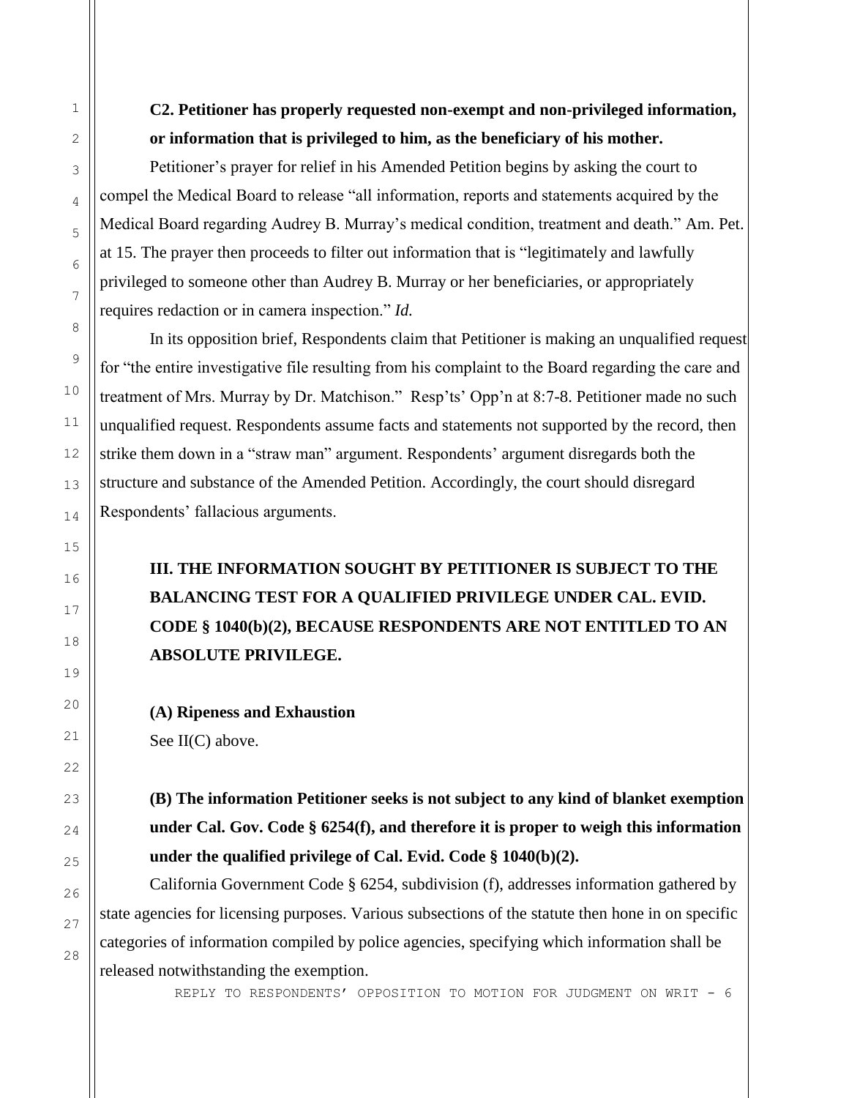**C2. Petitioner has properly requested non-exempt and non-privileged information, or information that is privileged to him, as the beneficiary of his mother.**

Petitioner's prayer for relief in his Amended Petition begins by asking the court to compel the Medical Board to release "all information, reports and statements acquired by the Medical Board regarding Audrey B. Murray's medical condition, treatment and death." Am. Pet. at 15. The prayer then proceeds to filter out information that is "legitimately and lawfully privileged to someone other than Audrey B. Murray or her beneficiaries, or appropriately requires redaction or in camera inspection." *Id.*

In its opposition brief, Respondents claim that Petitioner is making an unqualified request for "the entire investigative file resulting from his complaint to the Board regarding the care and treatment of Mrs. Murray by Dr. Matchison." Resp'ts' Opp'n at 8:7-8. Petitioner made no such unqualified request. Respondents assume facts and statements not supported by the record, then strike them down in a "straw man" argument. Respondents' argument disregards both the structure and substance of the Amended Petition. Accordingly, the court should disregard Respondents' fallacious arguments.

# **III. THE INFORMATION SOUGHT BY PETITIONER IS SUBJECT TO THE BALANCING TEST FOR A QUALIFIED PRIVILEGE UNDER CAL. EVID. CODE § 1040(b)(2), BECAUSE RESPONDENTS ARE NOT ENTITLED TO AN ABSOLUTE PRIVILEGE.**

**(A) Ripeness and Exhaustion** See II(C) above.

**(B) The information Petitioner seeks is not subject to any kind of blanket exemption under Cal. Gov. Code § 6254(f), and therefore it is proper to weigh this information under the qualified privilege of Cal. Evid. Code § 1040(b)(2).**

California Government Code § 6254, subdivision (f), addresses information gathered by state agencies for licensing purposes. Various subsections of the statute then hone in on specific categories of information compiled by police agencies, specifying which information shall be released notwithstanding the exemption.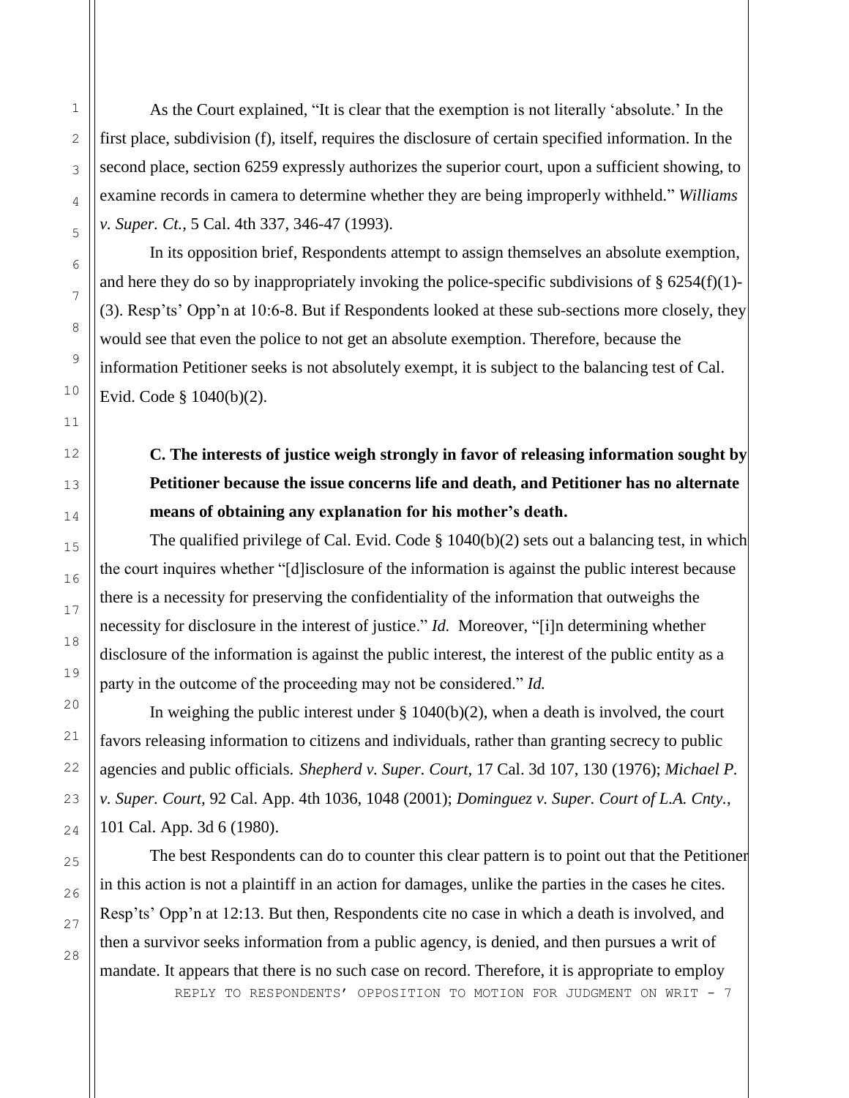As the Court explained, "It is clear that the exemption is not literally 'absolute.' In the first place, subdivision (f), itself, requires the disclosure of certain specified information. In the second place, section 6259 expressly authorizes the superior court, upon a sufficient showing, to examine records in camera to determine whether they are being improperly withheld." *Williams v. Super. Ct.,* 5 Cal. 4th 337, 346-47 (1993).

In its opposition brief, Respondents attempt to assign themselves an absolute exemption, and here they do so by inappropriately invoking the police-specific subdivisions of  $\S 6254(f)(1)$ -(3). Resp'ts' Opp'n at 10:6-8. But if Respondents looked at these sub-sections more closely, they would see that even the police to not get an absolute exemption. Therefore, because the information Petitioner seeks is not absolutely exempt, it is subject to the balancing test of Cal. Evid. Code § 1040(b)(2).

# **C. The interests of justice weigh strongly in favor of releasing information sought by Petitioner because the issue concerns life and death, and Petitioner has no alternate means of obtaining any explanation for his mother's death.**

The qualified privilege of Cal. Evid. Code § 1040(b)(2) sets out a balancing test, in which the court inquires whether "[d]isclosure of the information is against the public interest because there is a necessity for preserving the confidentiality of the information that outweighs the necessity for disclosure in the interest of justice." *Id.* Moreover, "[i]n determining whether disclosure of the information is against the public interest, the interest of the public entity as a party in the outcome of the proceeding may not be considered." *Id.*

In weighing the public interest under  $\S 1040(b)(2)$ , when a death is involved, the court favors releasing information to citizens and individuals, rather than granting secrecy to public agencies and public officials. *Shepherd v. Super. Court,* 17 Cal. 3d 107, 130 (1976); *Michael P. v. Super. Court,* 92 Cal. App. 4th 1036, 1048 (2001); *Dominguez v. Super. Court of L.A. Cnty.*, 101 Cal. App. 3d 6 (1980).

The best Respondents can do to counter this clear pattern is to point out that the Petitioner in this action is not a plaintiff in an action for damages, unlike the parties in the cases he cites. Resp'ts' Opp'n at 12:13. But then, Respondents cite no case in which a death is involved, and then a survivor seeks information from a public agency, is denied, and then pursues a writ of mandate. It appears that there is no such case on record. Therefore, it is appropriate to employ

REPLY TO RESPONDENTS' OPPOSITION TO MOTION FOR JUDGMENT ON WRIT - 7

1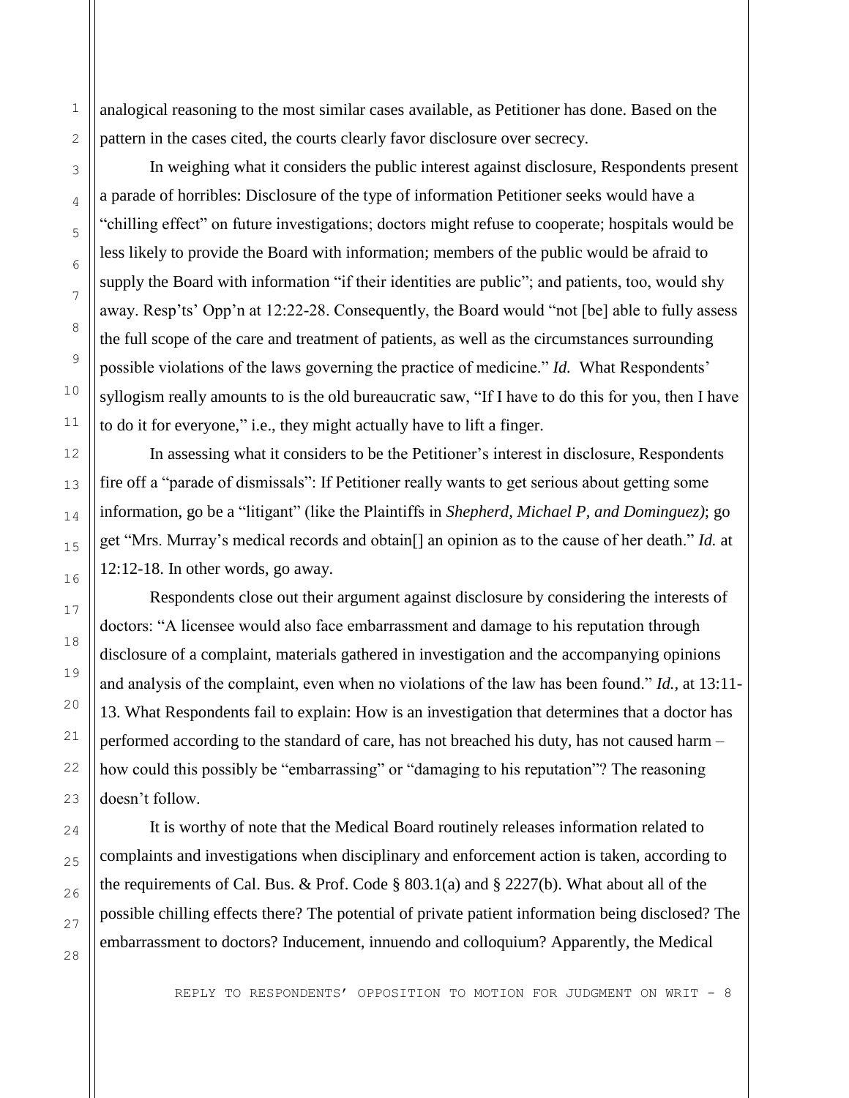analogical reasoning to the most similar cases available, as Petitioner has done. Based on the pattern in the cases cited, the courts clearly favor disclosure over secrecy.

In weighing what it considers the public interest against disclosure, Respondents present a parade of horribles: Disclosure of the type of information Petitioner seeks would have a "chilling effect" on future investigations; doctors might refuse to cooperate; hospitals would be less likely to provide the Board with information; members of the public would be afraid to supply the Board with information "if their identities are public"; and patients, too, would shy away. Resp'ts' Opp'n at 12:22-28. Consequently, the Board would "not [be] able to fully assess the full scope of the care and treatment of patients, as well as the circumstances surrounding possible violations of the laws governing the practice of medicine." *Id.* What Respondents' syllogism really amounts to is the old bureaucratic saw, "If I have to do this for you, then I have to do it for everyone," i.e., they might actually have to lift a finger.

In assessing what it considers to be the Petitioner's interest in disclosure, Respondents fire off a "parade of dismissals": If Petitioner really wants to get serious about getting some information, go be a "litigant" (like the Plaintiffs in *Shepherd, Michael P, and Dominguez)*; go get "Mrs. Murray's medical records and obtain[] an opinion as to the cause of her death." *Id.* at 12:12-18. In other words, go away.

Respondents close out their argument against disclosure by considering the interests of doctors: "A licensee would also face embarrassment and damage to his reputation through disclosure of a complaint, materials gathered in investigation and the accompanying opinions and analysis of the complaint, even when no violations of the law has been found." *Id.,* at 13:11- 13. What Respondents fail to explain: How is an investigation that determines that a doctor has performed according to the standard of care, has not breached his duty, has not caused harm – how could this possibly be "embarrassing" or "damaging to his reputation"? The reasoning doesn't follow.

It is worthy of note that the Medical Board routinely releases information related to complaints and investigations when disciplinary and enforcement action is taken, according to the requirements of Cal. Bus. & Prof. Code § 803.1(a) and § 2227(b). What about all of the possible chilling effects there? The potential of private patient information being disclosed? The embarrassment to doctors? Inducement, innuendo and colloquium? Apparently, the Medical

1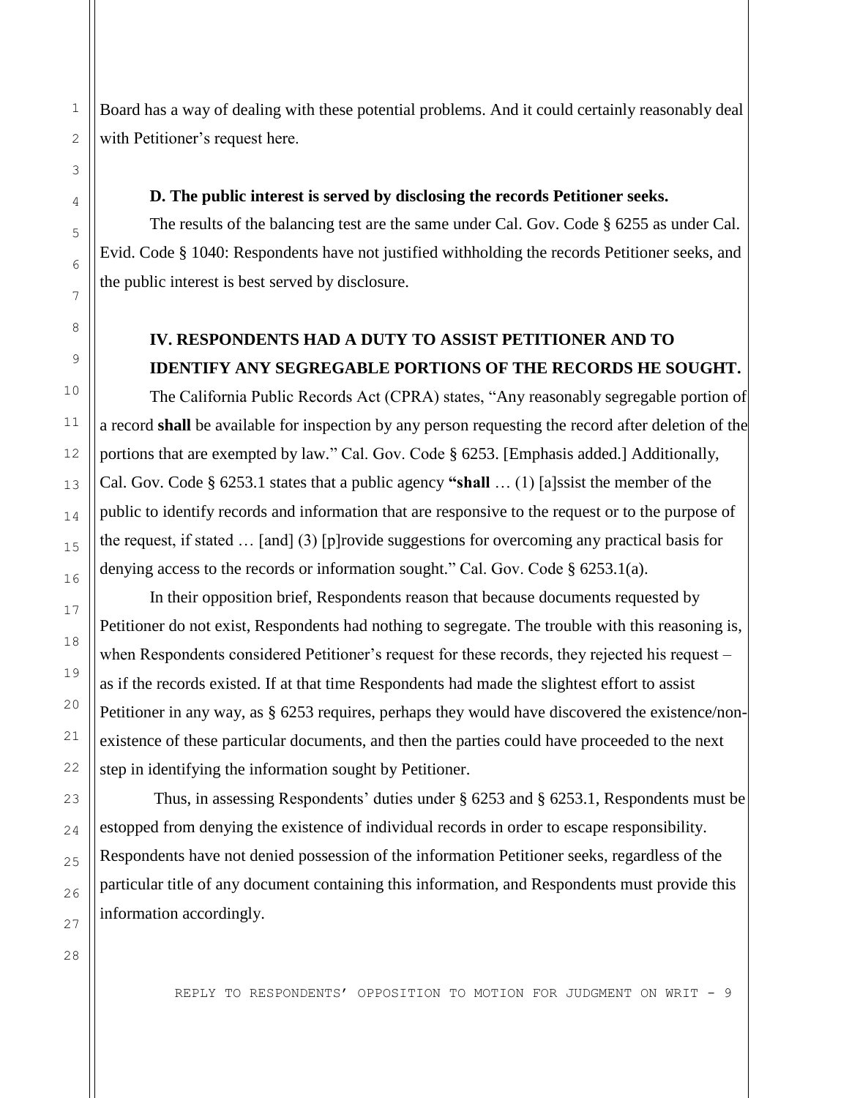Board has a way of dealing with these potential problems. And it could certainly reasonably deal with Petitioner's request here.

#### **D. The public interest is served by disclosing the records Petitioner seeks.**

The results of the balancing test are the same under Cal. Gov. Code § 6255 as under Cal. Evid. Code § 1040: Respondents have not justified withholding the records Petitioner seeks, and the public interest is best served by disclosure.

## **IV. RESPONDENTS HAD A DUTY TO ASSIST PETITIONER AND TO IDENTIFY ANY SEGREGABLE PORTIONS OF THE RECORDS HE SOUGHT.**

The California Public Records Act (CPRA) states, "Any reasonably segregable portion of a record **shall** be available for inspection by any person requesting the record after deletion of the portions that are exempted by law." Cal. Gov. Code § 6253. [Emphasis added.] Additionally, Cal. Gov. Code § 6253.1 states that a public agency **"shall** … (1) [a]ssist the member of the public to identify records and information that are responsive to the request or to the purpose of the request, if stated … [and] (3) [p]rovide suggestions for overcoming any practical basis for denying access to the records or information sought." Cal. Gov. Code § 6253.1(a).

In their opposition brief, Respondents reason that because documents requested by Petitioner do not exist, Respondents had nothing to segregate. The trouble with this reasoning is, when Respondents considered Petitioner's request for these records, they rejected his request – as if the records existed. If at that time Respondents had made the slightest effort to assist Petitioner in any way, as § 6253 requires, perhaps they would have discovered the existence/nonexistence of these particular documents, and then the parties could have proceeded to the next step in identifying the information sought by Petitioner.

Thus, in assessing Respondents' duties under § 6253 and § 6253.1, Respondents must be estopped from denying the existence of individual records in order to escape responsibility. Respondents have not denied possession of the information Petitioner seeks, regardless of the particular title of any document containing this information, and Respondents must provide this information accordingly.